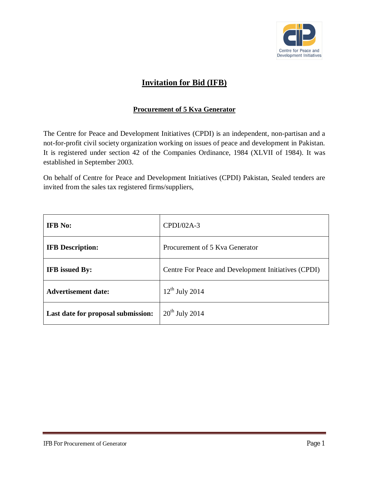

# **Invitation for Bid (IFB)**

## **Procurement of 5 Kva Generator**

The Centre for Peace and Development Initiatives (CPDI) is an independent, non-partisan and a not-for-profit civil society organization working on issues of peace and development in Pakistan. It is registered under section 42 of the Companies Ordinance, 1984 (XLVII of 1984). It was established in September 2003.

On behalf of Centre for Peace and Development Initiatives (CPDI) Pakistan, Sealed tenders are invited from the sales tax registered firms/suppliers,

| <b>IFB</b> No:                     | $CPDI/02A-3$                                        |
|------------------------------------|-----------------------------------------------------|
| <b>IFB</b> Description:            | Procurement of 5 Kya Generator                      |
| <b>IFB</b> issued By:              | Centre For Peace and Development Initiatives (CPDI) |
| <b>Advertisement date:</b>         | $12^{th}$ July 2014                                 |
| Last date for proposal submission: | $20th$ July 2014                                    |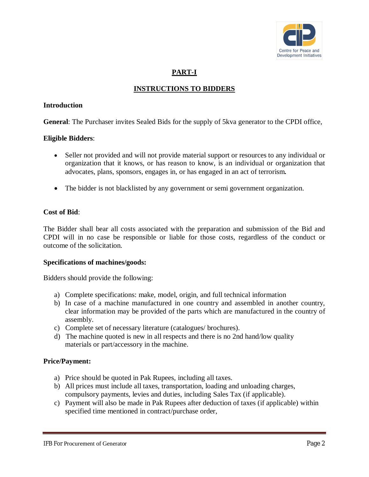

# **PART-I**

# **INSTRUCTIONS TO BIDDERS**

#### **Introduction**

**General**: The Purchaser invites Sealed Bids for the supply of 5kva generator to the CPDI office,

### **Eligible Bidders**:

- Seller not provided and will not provide material support or resources to any individual or organization that it knows, or has reason to know, is an individual or organization that advocates, plans, sponsors, engages in, or has engaged in an act of terrorism*.*
- The bidder is not blacklisted by any government or semi government organization.

#### **Cost of Bid**:

The Bidder shall bear all costs associated with the preparation and submission of the Bid and CPDI will in no case be responsible or liable for those costs, regardless of the conduct or outcome of the solicitation.

#### **Specifications of machines/goods:**

Bidders should provide the following:

- a) Complete specifications: make, model, origin, and full technical information
- b) In case of a machine manufactured in one country and assembled in another country, clear information may be provided of the parts which are manufactured in the country of assembly.
- c) Complete set of necessary literature (catalogues/ brochures).
- d) The machine quoted is new in all respects and there is no 2nd hand/low quality materials or part/accessory in the machine.

#### **Price/Payment:**

- a) Price should be quoted in Pak Rupees, including all taxes.
- b) All prices must include all taxes, transportation, loading and unloading charges, compulsory payments, levies and duties, including Sales Tax (if applicable).
- c) Payment will also be made in Pak Rupees after deduction of taxes (if applicable) within specified time mentioned in contract/purchase order,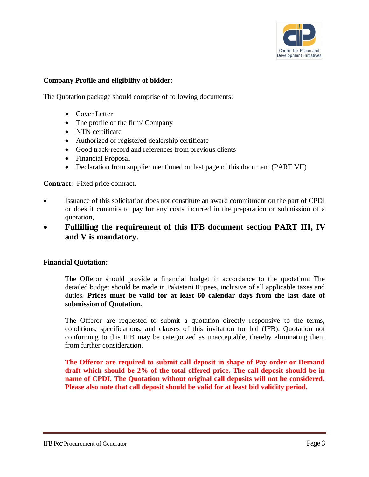

#### **Company Profile and eligibility of bidder:**

The Quotation package should comprise of following documents:

- Cover Letter
- The profile of the firm/ Company
- NTN certificate
- Authorized or registered dealership certificate
- Good track-record and references from previous clients
- Financial Proposal
- Declaration from supplier mentioned on last page of this document (PART VII)

**Contract**: Fixed price contract.

- Issuance of this solicitation does not constitute an award commitment on the part of CPDI or does it commits to pay for any costs incurred in the preparation or submission of a quotation,
- **Fulfilling the requirement of this IFB document section PART III, IV and V is mandatory.**

#### **Financial Quotation:**

The Offeror should provide a financial budget in accordance to the quotation; The detailed budget should be made in Pakistani Rupees, inclusive of all applicable taxes and duties. **Prices must be valid for at least 60 calendar days from the last date of submission of Quotation.**

The Offeror are requested to submit a quotation directly responsive to the terms, conditions, specifications, and clauses of this invitation for bid (IFB). Quotation not conforming to this IFB may be categorized as unacceptable, thereby eliminating them from further consideration.

**The Offeror are required to submit call deposit in shape of Pay order or Demand draft which should be 2% of the total offered price. The call deposit should be in name of CPDI. The Quotation without original call deposits will not be considered. Please also note that call deposit should be valid for at least bid validity period.**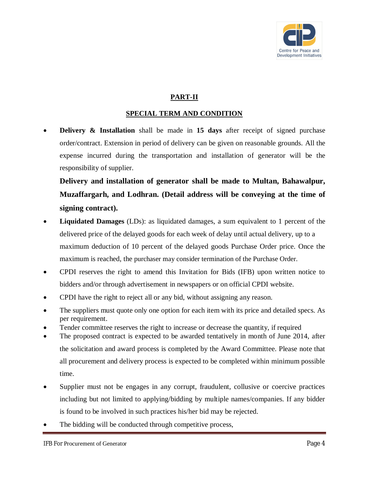

# **PART-II**

## **SPECIAL TERM AND CONDITION**

**Delivery & Installation** shall be made in 15 days after receipt of signed purchase order/contract. Extension in period of delivery can be given on reasonable grounds. All the expense incurred during the transportation and installation of generator will be the responsibility of supplier.

**Delivery and installation of generator shall be made to Multan, Bahawalpur, Muzaffargarh, and Lodhran. (Detail address will be conveying at the time of signing contract).** 

- **Liquidated Damages** (LDs): as liquidated damages, a sum equivalent to 1 percent of the delivered price of the delayed goods for each week of delay until actual delivery, up to a maximum deduction of 10 percent of the delayed goods Purchase Order price. Once the maximum is reached, the purchaser may consider termination of the Purchase Order.
- CPDI reserves the right to amend this Invitation for Bids (IFB) upon written notice to bidders and/or through advertisement in newspapers or on official CPDI website.
- CPDI have the right to reject all or any bid, without assigning any reason.
- The suppliers must quote only one option for each item with its price and detailed specs. As per requirement.
- Tender committee reserves the right to increase or decrease the quantity, if required
- The proposed contract is expected to be awarded tentatively in month of June 2014, after the solicitation and award process is completed by the Award Committee. Please note that all procurement and delivery process is expected to be completed within minimum possible time.
- Supplier must not be engages in any corrupt, fraudulent, collusive or coercive practices including but not limited to applying/bidding by multiple names/companies. If any bidder is found to be involved in such practices his/her bid may be rejected.
- The bidding will be conducted through competitive process,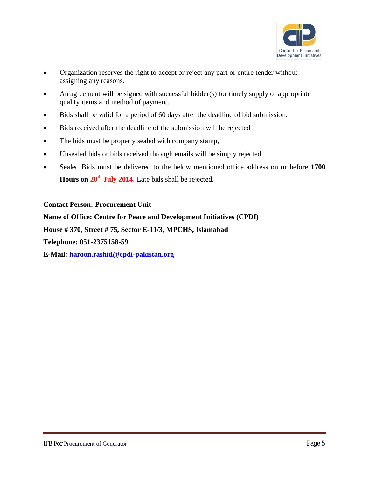

- Organization reserves the right to accept or reject any part or entire tender without assigning any reasons.
- An agreement will be signed with successful bidder(s) for timely supply of appropriate quality items and method of payment.
- Bids shall be valid for a period of 60 days after the deadline of bid submission.
- Bids received after the deadline of the submission will be rejected
- The bids must be properly sealed with company stamp,
- Unsealed bids or bids received through emails will be simply rejected.
- Sealed Bids must be delivered to the below mentioned office address on or before **1700 Hours on 20th July 2014**. Late bids shall be rejected.

#### **Contact Person: Procurement Unit**

**Name of Office: Centre for Peace and Development Initiatives (CPDI)**

**House # 370, Street # 75, Sector E-11/3, MPCHS, Islamabad**

**Telephone: 051-2375158-59**

**E-Mail: haroon.rashid@cpdi-pakistan.org**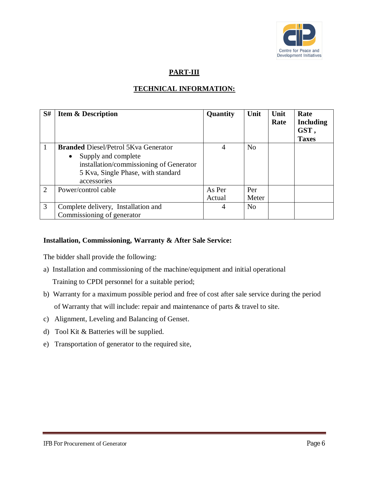

# **PART-III**

# **TECHNICAL INFORMATION:**

| S#             | <b>Item &amp; Description</b>                                                                                                    | Quantity | Unit           | Unit<br>Rate | Rate<br><b>Including</b><br>GST,<br><b>Taxes</b> |
|----------------|----------------------------------------------------------------------------------------------------------------------------------|----------|----------------|--------------|--------------------------------------------------|
|                | <b>Branded Diesel/Petrol 5Kva Generator</b>                                                                                      | 4        | N <sub>o</sub> |              |                                                  |
|                | Supply and complete<br>$\bullet$<br>installation/commissioning of Generator<br>5 Kva, Single Phase, with standard<br>accessories |          |                |              |                                                  |
| $\overline{2}$ | Power/control cable                                                                                                              | As Per   | Per            |              |                                                  |
|                |                                                                                                                                  | Actual   | Meter          |              |                                                  |
| 3              | Complete delivery, Installation and                                                                                              | 4        | N <sub>0</sub> |              |                                                  |
|                | Commissioning of generator                                                                                                       |          |                |              |                                                  |

### **Installation, Commissioning, Warranty & After Sale Service:**

The bidder shall provide the following:

- a) Installation and commissioning of the machine/equipment and initial operational Training to CPDI personnel for a suitable period;
- b) Warranty for a maximum possible period and free of cost after sale service during the period of Warranty that will include: repair and maintenance of parts & travel to site.
- c) Alignment, Leveling and Balancing of Genset.
- d) Tool Kit & Batteries will be supplied.
- e) Transportation of generator to the required site,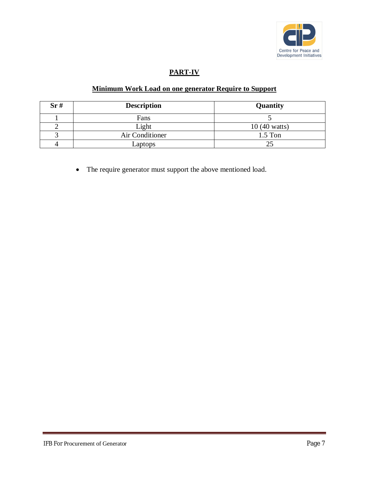

# **PART-IV**

## **Minimum Work Load on one generator Require to Support**

| Sr# | <b>Description</b> | Quantity               |
|-----|--------------------|------------------------|
|     | Fans               |                        |
|     | Light              | $10(40 \text{ watts})$ |
|     | Air Conditioner    | $1.5$ Ton              |
|     | Laptops            |                        |

The require generator must support the above mentioned load.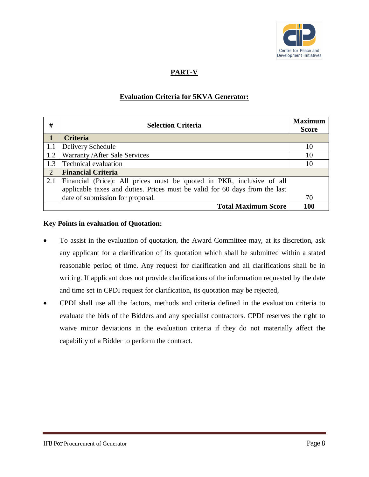

# **PART-V**

## **Evaluation Criteria for 5KVA Generator:**

| #                          | <b>Selection Criteria</b>                                                   |    |  |
|----------------------------|-----------------------------------------------------------------------------|----|--|
|                            |                                                                             |    |  |
|                            | <b>Criteria</b>                                                             |    |  |
| 1.1                        | Delivery Schedule                                                           | 10 |  |
| 1.2                        | Warranty/After Sale Services                                                | 10 |  |
| 1.3                        | <b>Technical evaluation</b>                                                 | 10 |  |
| $\overline{2}$             | <b>Financial Criteria</b>                                                   |    |  |
| 2.1                        | Financial (Price): All prices must be quoted in PKR, inclusive of all       |    |  |
|                            | applicable taxes and duties. Prices must be valid for 60 days from the last |    |  |
|                            | date of submission for proposal.                                            | 70 |  |
| <b>Total Maximum Score</b> |                                                                             |    |  |

### **Key Points in evaluation of Quotation:**

- To assist in the evaluation of quotation, the Award Committee may, at its discretion, ask any applicant for a clarification of its quotation which shall be submitted within a stated reasonable period of time. Any request for clarification and all clarifications shall be in writing. If applicant does not provide clarifications of the information requested by the date and time set in CPDI request for clarification, its quotation may be rejected,
- CPDI shall use all the factors, methods and criteria defined in the evaluation criteria to evaluate the bids of the Bidders and any specialist contractors. CPDI reserves the right to waive minor deviations in the evaluation criteria if they do not materially affect the capability of a Bidder to perform the contract.